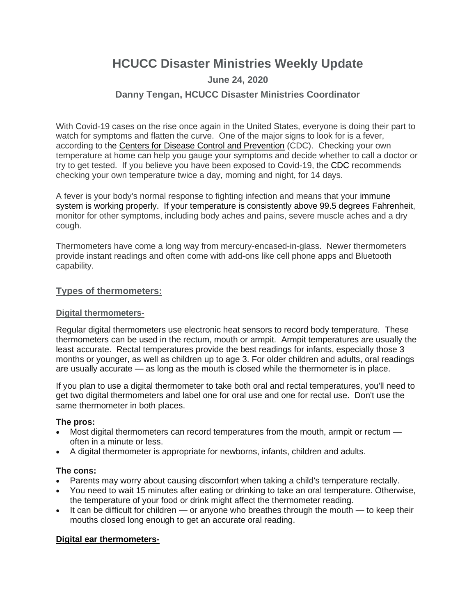# **HCUCC Disaster Ministries Weekly Update**

## **June 24, 2020**

## **Danny Tengan, HCUCC Disaster Ministries Coordinator**

With Covid-19 cases on the rise once again in the United States, everyone is doing their part to watch for symptoms and flatten the curve. One of the major signs to look for is a fever, according to the [Centers for Disease Control and Prevention](https://www.cdc.gov/coronavirus/2019-ncov/symptoms-testing/symptoms.html?CDC_AA_refVal=https%3A%2F%2Fwww.cdc.gov%2Fcoronavirus%2F2019-ncov%2Fabout%2Fsymptoms.html) (CDC). Checking your own temperature at home can help you gauge your symptoms and decide whether to call a doctor or try to get tested. If you believe you have been exposed to Covid-19, the [CDC](https://www.cdc.gov/coronavirus/2019-ncov/php/risk-assessment.html) recommends checking your own temperature twice a day, morning and night, for 14 days.

A fever is your body's normal response to fighting infection and means that your [immune](https://www.thehealthy.com/immune-system/immune-system-function/)  [system](https://www.thehealthy.com/immune-system/immune-system-function/) is working properly. If your temperature is consistently above 99.5 degrees Fahrenheit, monitor for other symptoms, including body aches and pains, severe muscle aches and a dry cough.

Thermometers have come a long way from mercury-encased-in-glass. Newer thermometers provide instant readings and often come with add-ons like cell phone apps and Bluetooth capability.

#### **Types of thermometers:**

#### **Digital thermometers-**

Regular digital thermometers use electronic heat sensors to record body temperature. These thermometers can be used in the rectum, mouth or armpit. Armpit temperatures are usually the least accurate. Rectal temperatures provide the best readings for infants, especially those 3 months or younger, as well as children up to age 3. For older children and adults, oral readings are usually accurate — as long as the mouth is closed while the thermometer is in place.

If you plan to use a digital thermometer to take both oral and rectal temperatures, you'll need to get two digital thermometers and label one for oral use and one for rectal use. Don't use the same thermometer in both places.

#### **The pros:**

- Most digital thermometers can record temperatures from the mouth, armpit or rectum often in a minute or less.
- A digital thermometer is appropriate for newborns, infants, children and adults.

#### **The cons:**

- Parents may worry about causing discomfort when taking a child's temperature rectally.
- You need to wait 15 minutes after eating or drinking to take an oral temperature. Otherwise, the temperature of your food or drink might affect the thermometer reading.
- $\bullet$  It can be difficult for children or anyone who breathes through the mouth to keep their mouths closed long enough to get an accurate oral reading.

#### **Digital ear thermometers-**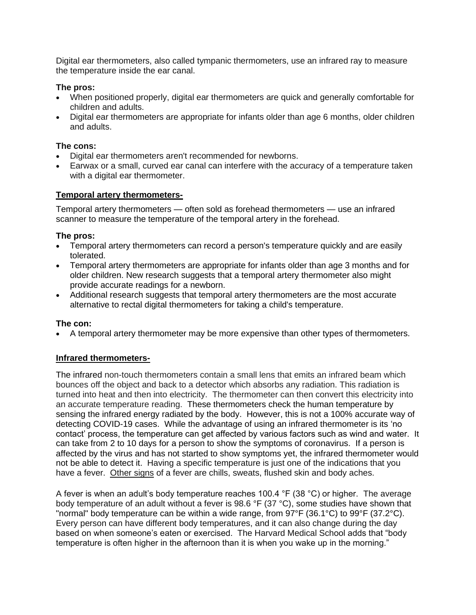Digital ear thermometers, also called tympanic thermometers, use an infrared ray to measure the temperature inside the ear canal.

#### **The pros:**

- When positioned properly, digital ear thermometers are quick and generally comfortable for children and adults.
- Digital ear thermometers are appropriate for infants older than age 6 months, older children and adults.

### **The cons:**

- Digital ear thermometers aren't recommended for newborns.
- Earwax or a small, curved ear canal can interfere with the accuracy of a temperature taken with a digital ear thermometer.

### **Temporal artery thermometers-**

Temporal artery thermometers — often sold as forehead thermometers — use an infrared scanner to measure the temperature of the temporal artery in the forehead.

### **The pros:**

- Temporal artery thermometers can record a person's temperature quickly and are easily tolerated.
- Temporal artery thermometers are appropriate for infants older than age 3 months and for older children. New research suggests that a temporal artery thermometer also might provide accurate readings for a newborn.
- Additional research suggests that temporal artery thermometers are the most accurate alternative to rectal digital thermometers for taking a child's temperature.

#### **The con:**

• A temporal artery thermometer may be more expensive than other types of thermometers.

## **Infrared thermometers-**

The infrared non-touch thermometers contain a small lens that emits an infrared beam which bounces off the object and back to a detector which absorbs any radiation. This radiation is turned into heat and then into electricity. The thermometer can then convert this electricity into an accurate temperature reading. These thermometers check the human temperature by sensing the infrared energy radiated by the body. However, this is not a 100% accurate way of detecting COVID-19 cases. While the advantage of using an infrared thermometer is its 'no contact' process, the temperature can get affected by various factors such as wind and water. It can take from 2 to 10 days for a person to show the symptoms of coronavirus. If a person is affected by the virus and has not started to show symptoms yet, the infrared thermometer would not be able to detect it. Having a specific temperature is just one of the indications that you have a fever. [Other signs](https://www.medicalnewstoday.com/articles/326160#checking-without-a-thermometer) of a fever are chills, sweats, flushed skin and body aches.

A fever is when an adult's body temperature reaches 100.4 °F (38 °C) or higher. The average body temperature of an adult without a fever is 98.6 °F (37 °C), some studies have shown that "normal" body temperature can be within a wide range, from 97°F (36.1°C) to 99°F (37.2°C). Every person can have different body temperatures, and it can also change during the day based on when someone's eaten or exercised. The Harvard Medical School adds that "body temperature is often higher in the afternoon than it is when you wake up in the morning."